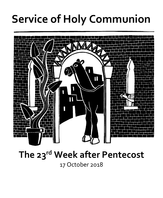# **Service of Holy Communion**



## **The 23rd Week after Pentecost**

17 October 2018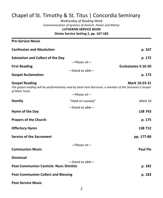### Chapel of St. Timothy & St. Titus | Concordia Seminary

*Wednesday of Reading Week Commemoration of Ignatius of Antioch, Pastor and Martyr* **LUTHERAN SERVICE BOOK Divine Service Setting 2, pp. 167-183**

**Pre-Service Music Confession and Absolution p. 167 Salutation and Collect of the Day p. 172** *—Please sit—* **First Reading Ecclesiastes 5:10-20** *—Stand as able—* **Gospel Acclamation p. 173 Gospel Reading Mark 10:23-31** *The gospel reading will be performatively read by Dean Kent Burreson, a member of the Seminary's Gospel of Mark Team. —Please sit—* **Homily** "Hold on Loosely" *Mark 10 —Stand as able—* **Hymn of the Day LSB 743 Prayers of the Church p. 175 Offertory Hymn LSB 712 Service of the Sacrament pp. 177-80** *—Please sit—* **Communion Music Paul Flo Dismissal** *—Stand as able—* **Post-Communion Canticle: Nunc Dimittis p. 182 Post-Communion Collect and Blessing p. 183**

**Post-Service Music**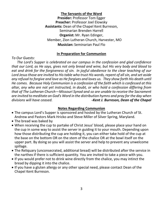#### **The Servants of the Word**

**Presider:** Professor Tom Egger **Preacher:** Professor Joel Elowsky **Assistants:** Dean of the Chapel Kent Burreson, Seminarian Brenden Harrell **Organist:** Mr. Ryan Edinger, Member, Zion Lutheran Church, Harvester, MO **Musician:** Seminarian Paul Flo

#### **In Preparation for Communion**

*To Our Guests:*

 *The Lord's Supper is celebrated on our campus in the confession and glad confidence that our Lord, as He says, gives not only bread and wine, but His very body and blood to eat and drink for the forgiveness of sin. In joyful obedience to the clear teaching of our Lord Jesus those are invited to His table who trust His words, repent of all sin, and set aside any refusal to forgive and love as He forgives and loves us. They show forth His death until He comes. Because Holy Communion is a confession of the faith which is confessed at this altar, any who are not yet instructed, in doubt, or who hold a confession differing from that of The Lutheran Church—Missouri Synod and so are unable to receive the Sacrament are invited to meditate on God's Word in the distribution hymns and pray for the day when divisions will have ceased. -Kent J. Burreson, Dean of the Chapel*

#### **Notes Regarding Communion**

- The campus Lord's Supper is sponsored and hosted by the Lutheran Church of St. Andrew and Pastors Mark Hricko and Steve Miller of Silver Spring, Maryland.
- The bread was baked by
- When receiving the cup to partake of Christ Jesus' blood, please place your hand on the cup in some way to assist the server in guiding it to your mouth. Depending upon how those distributing the cup are holding it, you can either take hold of the cup at the base on the bottom OR on the stem of the chalice OR at the bowl itself on the upper part. By doing so you will assist the server and help to prevent any unwelcome spillage.
- The Reliquary (unconsecrated, additional bread) will be distributed after the service in the narthex if there is sufficient quantity. You are invited to take a piece with you.
- If you would prefer not to drink wine directly from the chalice, you may intinct the bread by dipping it into the chalice.
- If you have a gluten allergy or any other special need, please contact Dean of the Chapel Kent Burreson.